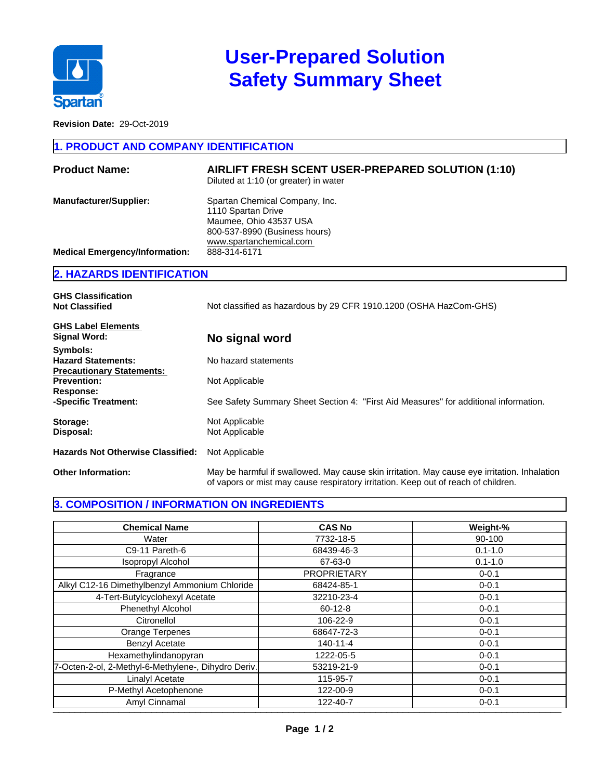

# **User-Prepared Solution Safety Summary Sheet**

**Revision Date:** 29-Oct-2019

#### **1. PRODUCT AND COMPANY IDENTIFICATION**

| <b>Product Name:</b>                  | AIRLIFT FRESH SCENT USER-PREPARED SOLUTION (1:10)<br>Diluted at 1:10 (or greater) in water                                                 |
|---------------------------------------|--------------------------------------------------------------------------------------------------------------------------------------------|
| <b>Manufacturer/Supplier:</b>         | Spartan Chemical Company, Inc.<br>1110 Spartan Drive<br>Maumee, Ohio 43537 USA<br>800-537-8990 (Business hours)<br>www.spartanchemical.com |
| <b>Medical Emergency/Information:</b> | 888-314-6171                                                                                                                               |

### **2. HAZARDS IDENTIFICATION**

| <b>GHS Classification</b><br><b>Not Classified</b>                        | Not classified as hazardous by 29 CFR 1910.1200 (OSHA HazCom-GHS)                                                                                                                  |
|---------------------------------------------------------------------------|------------------------------------------------------------------------------------------------------------------------------------------------------------------------------------|
| <b>GHS Label Elements</b><br>Signal Word:                                 | No signal word                                                                                                                                                                     |
| Symbols:<br><b>Hazard Statements:</b><br><b>Precautionary Statements:</b> | No hazard statements                                                                                                                                                               |
| <b>Prevention:</b><br>Response:                                           | Not Applicable                                                                                                                                                                     |
| -Specific Treatment:                                                      | See Safety Summary Sheet Section 4: "First Aid Measures" for additional information.                                                                                               |
| Storage:<br>Disposal:                                                     | Not Applicable<br>Not Applicable                                                                                                                                                   |
| <b>Hazards Not Otherwise Classified:</b>                                  | Not Applicable                                                                                                                                                                     |
| <b>Other Information:</b>                                                 | May be harmful if swallowed. May cause skin irritation. May cause eye irritation. Inhalation<br>of vapors or mist may cause respiratory irritation. Keep out of reach of children. |

### **3. COMPOSITION / INFORMATION ON INGREDIENTS**

| <b>Chemical Name</b>                                | <b>CAS No</b>      | Weight-%    |
|-----------------------------------------------------|--------------------|-------------|
| Water                                               | 7732-18-5          | 90-100      |
| C9-11 Pareth-6                                      | 68439-46-3         | $0.1 - 1.0$ |
| Isopropyl Alcohol                                   | 67-63-0            | $0.1 - 1.0$ |
| Fragrance                                           | <b>PROPRIETARY</b> | $0 - 0.1$   |
| Alkyl C12-16 Dimethylbenzyl Ammonium Chloride       | 68424-85-1         | $0 - 0.1$   |
| 4-Tert-Butylcyclohexyl Acetate                      | 32210-23-4         | $0 - 0.1$   |
| <b>Phenethyl Alcohol</b>                            | $60 - 12 - 8$      | $0 - 0.1$   |
| Citronellol                                         | 106-22-9           | $0 - 0.1$   |
| Orange Terpenes                                     | 68647-72-3         | $0 - 0.1$   |
| <b>Benzyl Acetate</b>                               | $140 - 11 - 4$     | $0 - 0.1$   |
| Hexamethylindanopyran                               | 1222-05-5          | $0 - 0.1$   |
| 7-Octen-2-ol, 2-Methyl-6-Methylene-, Dihydro Deriv. | 53219-21-9         | $0 - 0.1$   |
| <b>Linalyl Acetate</b>                              | 115-95-7           | $0 - 0.1$   |
| P-Methyl Acetophenone                               | 122-00-9           | $0 - 0.1$   |
| Amyl Cinnamal                                       | 122-40-7           | $0 - 0.1$   |